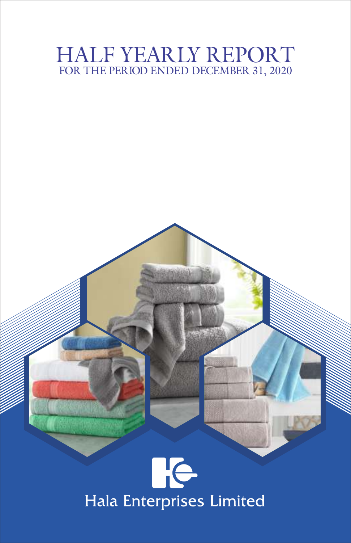# HALF YEARLY REPORT FOR THE PERIOD ENDED DECEMBER 31, 2020



# Hala Enterprises Limited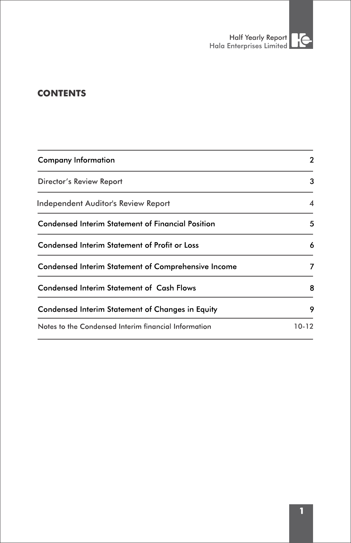

# **CONTENTS**

| Company Information                                      | 2     |
|----------------------------------------------------------|-------|
| Director's Review Report                                 | 3     |
| Independent Auditor's Review Report                      | 4     |
| <b>Condensed Interim Statement of Financial Position</b> | 5     |
| <b>Condensed Interim Statement of Profit or Loss</b>     | 6     |
| Condensed Interim Statement of Comprehensive Income      | 7     |
| Condensed Interim Statement of Cash Flows                | 8     |
| Condensed Interim Statement of Changes in Equity         | 9     |
| Notes to the Condensed Interim financial Information     | 10-12 |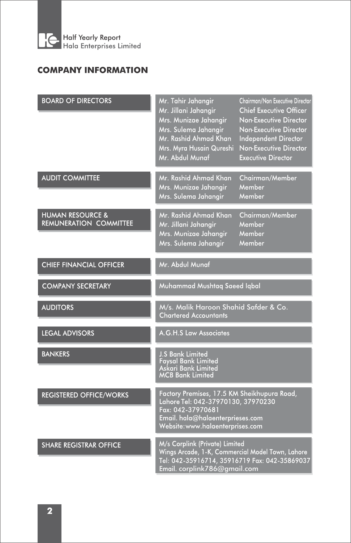

# **COMPANY INFORMATION**

| <b>BOARD OF DIRECTORS</b>                                    | Mr. Tahir Jahangir<br>Mr. Jillani Jahangir<br>Mrs. Munizae Jahangir<br>Mrs. Sulema Jahangir<br>Mr. Rashid Ahmad Khan<br>Mrs. Myra Husain Qureshi<br>Mr. Abdul Munaf            | Chairman/Non Executive Director<br><b>Chief Executive Officer</b><br>Non-Executive Director<br>Non-Executive Director<br>Independent Director<br>Non-Executive Director<br><b>Executive Director</b> |
|--------------------------------------------------------------|--------------------------------------------------------------------------------------------------------------------------------------------------------------------------------|------------------------------------------------------------------------------------------------------------------------------------------------------------------------------------------------------|
| <b>AUDIT COMMITTEE</b>                                       | Mr. Rashid Ahmad Khan<br>Mrs. Munizae Jahangir<br>Mrs. Sulema Jahangir                                                                                                         | Chairman/Member<br>Member<br>Member                                                                                                                                                                  |
| <b>HUMAN RESOURCE &amp;</b><br><b>REMUNERATION COMMITTEE</b> | Mr. Rashid Ahmad Khan<br>Mr. Jillani Jahangir<br>Mrs. Munizae Jahangir<br>Mrs. Sulema Jahangir                                                                                 | Chairman/Member<br>Member<br>Member<br>Member                                                                                                                                                        |
| <b>CHIEF FINANCIAL OFFICER</b>                               | Mr. Abdul Munaf                                                                                                                                                                |                                                                                                                                                                                                      |
| <b>COMPANY SECRETARY</b>                                     | Muhammad Mushtag Saeed Iqbal                                                                                                                                                   |                                                                                                                                                                                                      |
| <b>AUDITORS</b>                                              | M/s. Malik Haroon Shahid Safder & Co.<br><b>Chartered Accountants</b>                                                                                                          |                                                                                                                                                                                                      |
| <b>LEGAL ADVISORS</b>                                        | A.G.H.S Law Associates                                                                                                                                                         |                                                                                                                                                                                                      |
| <b>BANKERS</b>                                               | <b>J.S Bank Limited</b><br><b>Faysal Bank Limited</b><br>Askari Bank Limited<br><b>MCB Bank Limited</b>                                                                        |                                                                                                                                                                                                      |
| <b>REGISTERED OFFICE/WORKS</b>                               | Factory Premises, 17.5 KM Sheikhupura Road,<br>Lahore Tel: 042-37970130, 37970230<br>Fax: 042-37970681<br>Email. hala@halaenterprieses.com<br>Website: www.halaenterprises.com |                                                                                                                                                                                                      |
| <b>SHARE REGISTRAR OFFICE</b>                                | M/s Corplink (Private) Limited<br>Wings Arcade, 1-K, Commercial Model Town, Lahore<br>Tel: 042-35916714, 35916719 Fax: 042-35869037<br>Email. corplink786@gmail.com            |                                                                                                                                                                                                      |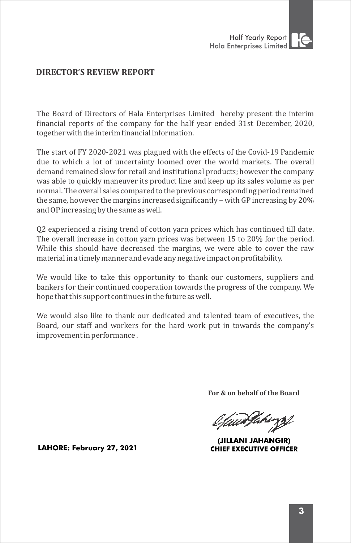

# **DIRECTOR'S REVIEW REPORT**

The Board of Directors of Hala Enterprises Limited hereby present the interim financial reports of the company for the half year ended 31st December, 2020, together with the interim financial information.

The start of FY 2020-2021 was plagued with the effects of the Covid-19 Pandemic due to which a lot of uncertainty loomed over the world markets. The overall demand remained slow for retail and institutional products; however the company was able to quickly maneuver its product line and keep up its sales volume as per normal. The overall sales compared to the previous corresponding period remained the same, however the margins increased significantly – with GP increasing by  $20\%$ and OP increasing by the same as well.

Q2 experienced a rising trend of cotton yarn prices which has continued till date. The overall increase in cotton yarn prices was between 15 to 20% for the period. While this should have decreased the margins, we were able to cover the raw material in a timely manner and evade any negative impact on profitability.

We would like to take this opportunity to thank our customers, suppliers and bankers for their continued cooperation towards the progress of the company. We hope that this support continues in the future as well.

We would also like to thank our dedicated and talented team of executives, the Board, our staff and workers for the hard work put in towards the company's improvement in performance.

**For & on behalf of the Board**

//www.fakirgs/

(JILLANI JAHANGIR) **CHIEF EXECUTIVE OFFICER** 

**LAHORE: February 27, 2021**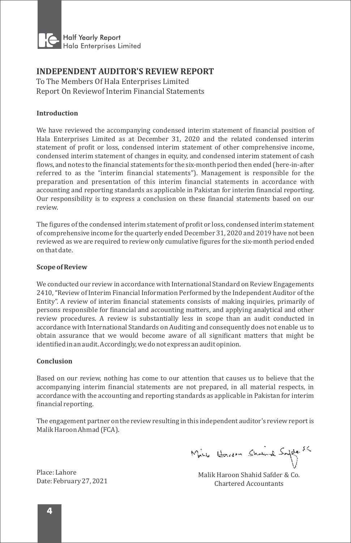

## **INDEPENDENT AUDITOR'S REVIEW REPORT**

To The Members Of Hala Enterprises Limited Report On Reviewof Interim Financial Statements

## **Introduction**

We have reviewed the accompanying condensed interim statement of financial position of Hala Enterprises Limited as at December 31, 2020 and the related condensed interim statement of profit or loss, condensed interim statement of other comprehensive income, condensed interim statement of changes in equity, and condensed interim statement of cash flows, and notes to the financial statements for the six-month period then ended (here-in-after referred to as the "interim inancial statements"). Management is responsible for the preparation and presentation of this interim inancial statements in accordance with accounting and reporting standards as applicable in Pakistan for interim financial reporting. Our responsibility is to express a conclusion on these financial statements based on our review.

The figures of the condensed interim statement of profit or loss, condensed interim statement of comprehensive income for the quarterly ended December 31, 2020 and 2019 have not been reviewed as we are required to review only cumulative figures for the six-month period ended on that date.

## **Scope of Review**

We conducted our review in accordance with International Standard on Review Engagements 2410, "Review of Interim Financial Information Performed by the Independent Auditor of the Entity". A review of interim financial statements consists of making inquiries, primarily of persons responsible for financial and accounting matters, and applying analytical and other review procedures. A review is substantially less in scope than an audit conducted in accordance with International Standards on Auditing and consequently does not enable us to obtain assurance that we would become aware of all significant matters that might be identified in an audit. Accordingly, we do not express an audit opinion.

## **Conclusion**

Based on our review, nothing has come to our attention that causes us to believe that the accompanying interim financial statements are not prepared, in all material respects, in accordance with the accounting and reporting standards as applicable in Pakistan for interim financial reporting.

The engagement partner on the review resulting in this independent auditor's review report is Malik Haroon Ahmad (FCA).

Mine Howarm Shanna Safele &

Malik Haroon Shahid Safder & Co. Chartered Accountants

Place: Lahore Date: February 27, 2021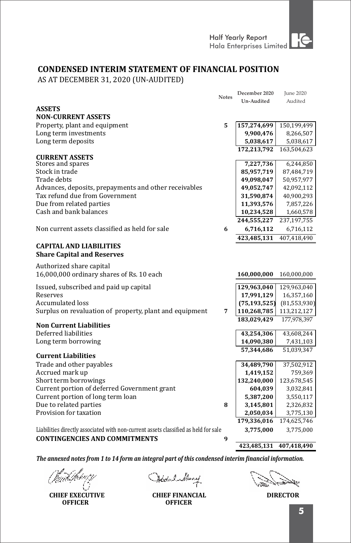# **CONDENSED INTERIM STATEMENT OF FINANCIAL POSITION**

AS AT DECEMBER 31, 2020 (UN-AUDITED)

|                                                                                     | <b>Notes</b> | December 2020            | <b>June 2020</b> |
|-------------------------------------------------------------------------------------|--------------|--------------------------|------------------|
|                                                                                     |              | Un-Audited               | Audited          |
| <b>ASSETS</b>                                                                       |              |                          |                  |
| <b>NON-CURRENT ASSETS</b>                                                           |              |                          |                  |
| Property, plant and equipment                                                       | 5            | 157,274,699              | 150,199,499      |
| Long term investments                                                               |              | 9,900,476                | 8,266,507        |
| Long term deposits                                                                  |              | 5,038,617                | 5,038,617        |
|                                                                                     |              | 172,213,792              | 163,504,623      |
| <b>CURRENT ASSETS</b>                                                               |              |                          |                  |
| Stores and spares                                                                   |              | 7,227,736                | 6,244,850        |
| Stock in trade                                                                      |              | 85,957,719               | 87,484,719       |
| Trade debts                                                                         |              | 49,098,047               | 50,957,977       |
| Advances, deposits, prepayments and other receivables                               |              | 49,052,747               | 42,092,112       |
| Tax refund due from Government                                                      |              | 31,590,874               | 40,900,293       |
| Due from related parties                                                            |              | 11,393,576               | 7,857,226        |
| Cash and bank balances                                                              |              | 10,234,528               | 1,660,578        |
|                                                                                     |              | 244,555,227              | 237,197,755      |
| Non current assets classified as held for sale                                      | 6            | 6,716,112                | 6,716,112        |
|                                                                                     |              | 423,485,131              | 407,418,490      |
| <b>CAPITAL AND LIABILITIES</b>                                                      |              |                          |                  |
| <b>Share Capital and Reserves</b>                                                   |              |                          |                  |
|                                                                                     |              |                          |                  |
| Authorized share capital                                                            |              |                          |                  |
| 16,000,000 ordinary shares of Rs. 10 each                                           |              | 160,000,000              | 160,000,000      |
|                                                                                     |              |                          |                  |
| Issued, subscribed and paid up capital                                              |              | 129,963,040              | 129,963,040      |
| Reserves                                                                            |              | 17,991,129               | 16,357,160       |
| Accumulated loss                                                                    |              | (75, 193, 525)           | (81, 553, 930)   |
| Surplus on revaluation of property, plant and equipment                             | 7            | 110,268,785              | 113,212,127      |
| <b>Non Current Liabilities</b>                                                      |              | 183,029,429              | 177,978,397      |
| Deferred liabilities                                                                |              | 43,254,306               | 43,608,244       |
| Long term borrowing                                                                 |              | 14,090,380               | 7,431,103        |
|                                                                                     |              | 57,344,686               | 51,039,347       |
| <b>Current Liabilities</b>                                                          |              |                          |                  |
| Trade and other payables                                                            |              | 34,489,790               | 37,502,912       |
| Accrued mark up                                                                     |              | 1,419,152                | 759,369          |
| Short term borrowings                                                               |              | 132,240,000              | 123,678,545      |
| Current portion of deferred Government grant                                        |              | 604,039                  | 3,032,841        |
| Current portion of long term loan                                                   |              | 5,387,200                | 3,550,117        |
| Due to related parties                                                              | 8            | 3,145,801                | 2,326,832        |
| Provision for taxation                                                              |              |                          |                  |
|                                                                                     |              | 2,050,034<br>179,336,016 | 3,775,130        |
|                                                                                     |              |                          | 174,625,746      |
| Liabilities directly associated with non-current assets classified as held for sale |              | 3,775,000                | 3,775,000        |
| <b>CONTINGENCIES AND COMMITMENTS</b>                                                | 9            |                          |                  |
|                                                                                     |              | 423,485,131              | 407,418,490      |

**CHIEF EXECUTIVE OFFICER**

Hodal Muny

**CHIEF FINANCIAL DIRECTOR OFFICER**

Ų.

5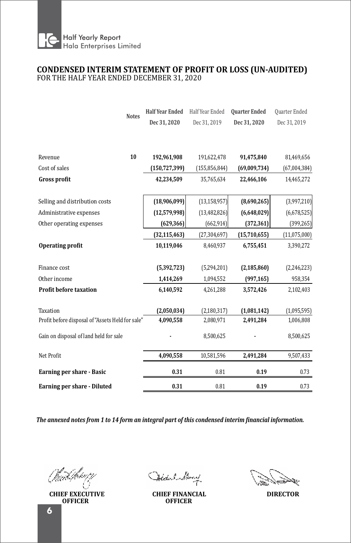

## **CONDENSED INTERIM STATEMENT OF PROFIT OR LOSS (UN-AUDITED)** FOR THE HALF YEAR ENDED DECEMBER 31, 2020

| <b>Notes</b>                                     | <b>Half Year Ended</b> | Half Year Ended | <b>Quarter Ended</b> | Quarter Ended |
|--------------------------------------------------|------------------------|-----------------|----------------------|---------------|
|                                                  | Dec 31, 2020           | Dec 31, 2019    | Dec 31, 2020         | Dec 31, 2019  |
|                                                  |                        |                 |                      |               |
|                                                  |                        |                 |                      |               |
| 10<br>Revenue                                    | 192,961,908            | 191,622,478     | 91,475,840           | 81,469,656    |
| Cost of sales                                    | (150, 727, 399)        | (155, 856, 844) | (69,009,734)         | (67,004,384)  |
| <b>Gross profit</b>                              | 42,234,509             | 35,765,634      | 22,466,106           | 14,465,272    |
|                                                  |                        |                 |                      |               |
| Selling and distribution costs                   | (18,906,099)           | (13, 158, 957)  | (8,690,265)          | (3,997,210)   |
| Administrative expenses                          | (12, 579, 998)         | (13, 482, 826)  | (6,648,029)          | (6,678,525)   |
| Other operating expenses                         | (629, 366)             | (662, 914)      | (372, 361)           | (399, 265)    |
|                                                  | (32, 115, 463)         | (27, 304, 697)  | (15,710,655)         | (11,075,000)  |
| Operating profit                                 | 10,119,046             | 8,460,937       | 6,755,451            | 3,390,272     |
| Finance cost                                     | (5,392,723)            | (5,294,201)     | (2, 185, 860)        | (2,246,223)   |
| Other income                                     | 1,414,269              | 1,094,552       | (997, 165)           | 958,354       |
| Profit before taxation                           | 6,140,592              | 4,261,288       | 3,572,426            | 2,102,403     |
| Taxation                                         | (2,050,034)            | (2, 180, 317)   | (1,081,142)          | (1,095,595)   |
| Profit before disposal of "Assets Held for sale" | 4,090,558              | 2,080,971       | 2,491,284            | 1,006,808     |
| Gain on disposal of land held for sale           |                        | 8,500,625       |                      | 8,500,625     |
| Net Profit                                       | 4,090,558              | 10,581,596      | 2,491,284            | 9,507,433     |
| Earning per share - Basic                        | 0.31                   | 0.81            | 0.19                 | 0.73          |
| Earning per share - Diluted                      | 0.31                   | 0.81            | 0.19                 | 0.73          |

Vmš./kru

**CHIEF EXECUTIVE OFFICER**

Addul Muny

**CHIEF FINANCIAL DIRECTOR OFFICER**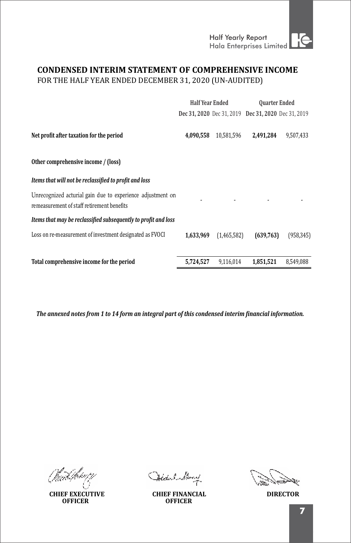Half Yearly Report

# **CONDENSED INTERIM STATEMENT OF COMPREHENSIVE INCOME**

FOR THE HALF YEAR ENDED DECEMBER 31, 2020 (UN-AUDITED)

|                                                                                                          | <b>Half Year Ended</b> |             | <b>Quarter Ended</b>                                |            |
|----------------------------------------------------------------------------------------------------------|------------------------|-------------|-----------------------------------------------------|------------|
|                                                                                                          |                        |             | Dec 31, 2020 Dec 31, 2019 Dec 31, 2020 Dec 31, 2019 |            |
| Net profit after taxation for the period                                                                 | 4.090.558              | 10.581.596  | 2.491.284                                           | 9,507,433  |
| Other comprehensive income / (loss)                                                                      |                        |             |                                                     |            |
| Items that will not be reclassified to profit and loss                                                   |                        |             |                                                     |            |
| Unrecognized acturial gain due to experience adjustment on<br>remeasurement of staff retirement benefits |                        |             |                                                     |            |
| Items that may be reclassified subsequently to profit and loss                                           |                        |             |                                                     |            |
| Loss on re-measurement of investment designated as FVOCI                                                 | 1,633,969              | (1,465,582) | (639,763)                                           | (958, 345) |
| Total comprehensive income for the period                                                                | 5,724,527              | 9,116,014   | 1,851,521                                           | 8,549,088  |

**CHIEF EXECUTIVE OFFICER**

Hodel Muny

**CHIEF FINANCIAL DIRECTOR OFFICER**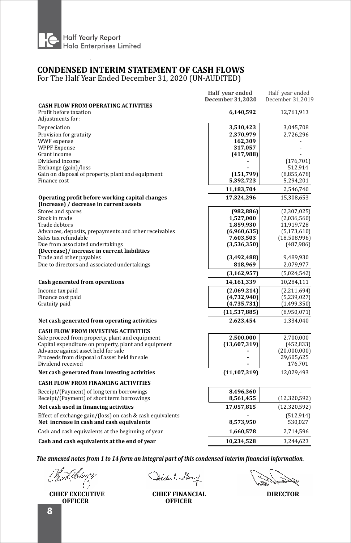

# **CONDENSED INTERIM STATEMENT OF CASH FLOWS**

For The Half Year Ended December 31, 2020 (UN-AUDITED)

| <b>CASH FLOW FROM OPERATING ACTIVITIES</b><br>Profit before taxation<br>6,140,592<br>12,761,913<br>Adjustments for:<br>Depreciation<br>3,045,708<br>3,510,423<br>Provision for gratuity<br>2,370,979<br>2,726,296<br>WWF expense<br>162,309<br><b>WPPF</b> Expense<br>317,057<br>Grant income<br>(417,988)<br>Dividend income<br>(176, 701)<br>Exchange (gain)/loss<br>512,914<br>Gain on disposal of property, plant and equipment<br>(151,799)<br>(8,855,678)<br>Finance cost<br>5,392,723<br>5,294,201<br>11,183,704<br>2,546,740<br>Operating profit before working capital changes<br>17,324,296<br>15,308,653<br>(Increase) / decrease in current assets<br>Stores and spares<br>(982, 886)<br>(2,307,025)<br>Stock in trade<br>1,527,000<br>(2,036,560)<br>Trade debtors<br>1,859,930<br>11,919,728<br>Advances, deposits, prepayments and other receivables<br>(6,960,635)<br>(5, 173, 610)<br>Sales tax refundable<br>7,603,503<br>(18,508,996)<br>Due from associated undertakings<br>(3,536,350)<br>(487, 986)<br>(Decrease)/ increase in current liabilities<br>Trade and other payables<br>(3,492,488)<br>9,489,930<br>Due to directors and associated undertakings<br>818,969<br>2,079,977<br>(3, 162, 957)<br>(5,024,542)<br>Cash generated from operations<br>14,161,339<br>10,284,111<br>Income tax paid<br>(2,069,214)<br>(2,211,694)<br>Finance cost paid<br>(4,732,940)<br>(5,239,027)<br>Gratuity paid<br>(4,735,731)<br>(1,499,350)<br>(11,537,885)<br>(8,950,071)<br>Net cash generated from operating activities<br>2,623,454<br>1,334,040<br><b>CASH FLOW FROM INVESTING ACTIVITIES</b><br>Sale proceed from property, plant and equipment<br>2,500,000<br>2,700,000<br>Capital expenditure on property, plant and equipment<br>(13,607,319)<br>(452, 833)<br>Advance against asset held for sale<br>(20,000,000)<br>Proceeds from disposal of asset held for sale<br>29,605,625<br>Dividend received<br>176,701<br>Net cash generated from investing activities<br>(11, 107, 319)<br>12,029,493<br><b>CASH FLOW FROM FINANCING ACTIVITIES</b><br>Receipt/(Payment) of long term borrowings<br>8,496,360<br>Receipt/(Payment) of short term borrowings<br>8,561,455<br>(12,320,592)<br>Net cash used in financing activities<br>17,057,815<br>(12, 320, 592)<br>Effect of exchange gain/(loss) on cash & cash equivalents<br>(512, 914)<br>Net increase in cash and cash equivalents<br>8,573,950<br>530,027<br>Cash and cash equivalents at the beginning of year<br>1,660,578<br>2,714,596<br>Cash and cash equivalents at the end of year<br>10,234,528<br>3,244,623 | Half year ended<br><b>December 31,2020</b> | Half year ended<br>December 31,2019 |
|--------------------------------------------------------------------------------------------------------------------------------------------------------------------------------------------------------------------------------------------------------------------------------------------------------------------------------------------------------------------------------------------------------------------------------------------------------------------------------------------------------------------------------------------------------------------------------------------------------------------------------------------------------------------------------------------------------------------------------------------------------------------------------------------------------------------------------------------------------------------------------------------------------------------------------------------------------------------------------------------------------------------------------------------------------------------------------------------------------------------------------------------------------------------------------------------------------------------------------------------------------------------------------------------------------------------------------------------------------------------------------------------------------------------------------------------------------------------------------------------------------------------------------------------------------------------------------------------------------------------------------------------------------------------------------------------------------------------------------------------------------------------------------------------------------------------------------------------------------------------------------------------------------------------------------------------------------------------------------------------------------------------------------------------------------------------------------------------------------------------------------------------------------------------------------------------------------------------------------------------------------------------------------------------------------------------------------------------------------------------------------------------------------------------------------------------------------------------------------------------------------------------------------------------------------------------------------------------------|--------------------------------------------|-------------------------------------|
|                                                                                                                                                                                                                                                                                                                                                                                                                                                                                                                                                                                                                                                                                                                                                                                                                                                                                                                                                                                                                                                                                                                                                                                                                                                                                                                                                                                                                                                                                                                                                                                                                                                                                                                                                                                                                                                                                                                                                                                                                                                                                                                                                                                                                                                                                                                                                                                                                                                                                                                                                                                                  |                                            |                                     |
|                                                                                                                                                                                                                                                                                                                                                                                                                                                                                                                                                                                                                                                                                                                                                                                                                                                                                                                                                                                                                                                                                                                                                                                                                                                                                                                                                                                                                                                                                                                                                                                                                                                                                                                                                                                                                                                                                                                                                                                                                                                                                                                                                                                                                                                                                                                                                                                                                                                                                                                                                                                                  |                                            |                                     |
|                                                                                                                                                                                                                                                                                                                                                                                                                                                                                                                                                                                                                                                                                                                                                                                                                                                                                                                                                                                                                                                                                                                                                                                                                                                                                                                                                                                                                                                                                                                                                                                                                                                                                                                                                                                                                                                                                                                                                                                                                                                                                                                                                                                                                                                                                                                                                                                                                                                                                                                                                                                                  |                                            |                                     |
|                                                                                                                                                                                                                                                                                                                                                                                                                                                                                                                                                                                                                                                                                                                                                                                                                                                                                                                                                                                                                                                                                                                                                                                                                                                                                                                                                                                                                                                                                                                                                                                                                                                                                                                                                                                                                                                                                                                                                                                                                                                                                                                                                                                                                                                                                                                                                                                                                                                                                                                                                                                                  |                                            |                                     |
|                                                                                                                                                                                                                                                                                                                                                                                                                                                                                                                                                                                                                                                                                                                                                                                                                                                                                                                                                                                                                                                                                                                                                                                                                                                                                                                                                                                                                                                                                                                                                                                                                                                                                                                                                                                                                                                                                                                                                                                                                                                                                                                                                                                                                                                                                                                                                                                                                                                                                                                                                                                                  |                                            |                                     |
|                                                                                                                                                                                                                                                                                                                                                                                                                                                                                                                                                                                                                                                                                                                                                                                                                                                                                                                                                                                                                                                                                                                                                                                                                                                                                                                                                                                                                                                                                                                                                                                                                                                                                                                                                                                                                                                                                                                                                                                                                                                                                                                                                                                                                                                                                                                                                                                                                                                                                                                                                                                                  |                                            |                                     |
|                                                                                                                                                                                                                                                                                                                                                                                                                                                                                                                                                                                                                                                                                                                                                                                                                                                                                                                                                                                                                                                                                                                                                                                                                                                                                                                                                                                                                                                                                                                                                                                                                                                                                                                                                                                                                                                                                                                                                                                                                                                                                                                                                                                                                                                                                                                                                                                                                                                                                                                                                                                                  |                                            |                                     |
|                                                                                                                                                                                                                                                                                                                                                                                                                                                                                                                                                                                                                                                                                                                                                                                                                                                                                                                                                                                                                                                                                                                                                                                                                                                                                                                                                                                                                                                                                                                                                                                                                                                                                                                                                                                                                                                                                                                                                                                                                                                                                                                                                                                                                                                                                                                                                                                                                                                                                                                                                                                                  |                                            |                                     |
|                                                                                                                                                                                                                                                                                                                                                                                                                                                                                                                                                                                                                                                                                                                                                                                                                                                                                                                                                                                                                                                                                                                                                                                                                                                                                                                                                                                                                                                                                                                                                                                                                                                                                                                                                                                                                                                                                                                                                                                                                                                                                                                                                                                                                                                                                                                                                                                                                                                                                                                                                                                                  |                                            |                                     |
|                                                                                                                                                                                                                                                                                                                                                                                                                                                                                                                                                                                                                                                                                                                                                                                                                                                                                                                                                                                                                                                                                                                                                                                                                                                                                                                                                                                                                                                                                                                                                                                                                                                                                                                                                                                                                                                                                                                                                                                                                                                                                                                                                                                                                                                                                                                                                                                                                                                                                                                                                                                                  |                                            |                                     |
|                                                                                                                                                                                                                                                                                                                                                                                                                                                                                                                                                                                                                                                                                                                                                                                                                                                                                                                                                                                                                                                                                                                                                                                                                                                                                                                                                                                                                                                                                                                                                                                                                                                                                                                                                                                                                                                                                                                                                                                                                                                                                                                                                                                                                                                                                                                                                                                                                                                                                                                                                                                                  |                                            |                                     |
|                                                                                                                                                                                                                                                                                                                                                                                                                                                                                                                                                                                                                                                                                                                                                                                                                                                                                                                                                                                                                                                                                                                                                                                                                                                                                                                                                                                                                                                                                                                                                                                                                                                                                                                                                                                                                                                                                                                                                                                                                                                                                                                                                                                                                                                                                                                                                                                                                                                                                                                                                                                                  |                                            |                                     |
|                                                                                                                                                                                                                                                                                                                                                                                                                                                                                                                                                                                                                                                                                                                                                                                                                                                                                                                                                                                                                                                                                                                                                                                                                                                                                                                                                                                                                                                                                                                                                                                                                                                                                                                                                                                                                                                                                                                                                                                                                                                                                                                                                                                                                                                                                                                                                                                                                                                                                                                                                                                                  |                                            |                                     |
|                                                                                                                                                                                                                                                                                                                                                                                                                                                                                                                                                                                                                                                                                                                                                                                                                                                                                                                                                                                                                                                                                                                                                                                                                                                                                                                                                                                                                                                                                                                                                                                                                                                                                                                                                                                                                                                                                                                                                                                                                                                                                                                                                                                                                                                                                                                                                                                                                                                                                                                                                                                                  |                                            |                                     |
|                                                                                                                                                                                                                                                                                                                                                                                                                                                                                                                                                                                                                                                                                                                                                                                                                                                                                                                                                                                                                                                                                                                                                                                                                                                                                                                                                                                                                                                                                                                                                                                                                                                                                                                                                                                                                                                                                                                                                                                                                                                                                                                                                                                                                                                                                                                                                                                                                                                                                                                                                                                                  |                                            |                                     |
|                                                                                                                                                                                                                                                                                                                                                                                                                                                                                                                                                                                                                                                                                                                                                                                                                                                                                                                                                                                                                                                                                                                                                                                                                                                                                                                                                                                                                                                                                                                                                                                                                                                                                                                                                                                                                                                                                                                                                                                                                                                                                                                                                                                                                                                                                                                                                                                                                                                                                                                                                                                                  |                                            |                                     |
|                                                                                                                                                                                                                                                                                                                                                                                                                                                                                                                                                                                                                                                                                                                                                                                                                                                                                                                                                                                                                                                                                                                                                                                                                                                                                                                                                                                                                                                                                                                                                                                                                                                                                                                                                                                                                                                                                                                                                                                                                                                                                                                                                                                                                                                                                                                                                                                                                                                                                                                                                                                                  |                                            |                                     |
|                                                                                                                                                                                                                                                                                                                                                                                                                                                                                                                                                                                                                                                                                                                                                                                                                                                                                                                                                                                                                                                                                                                                                                                                                                                                                                                                                                                                                                                                                                                                                                                                                                                                                                                                                                                                                                                                                                                                                                                                                                                                                                                                                                                                                                                                                                                                                                                                                                                                                                                                                                                                  |                                            |                                     |
|                                                                                                                                                                                                                                                                                                                                                                                                                                                                                                                                                                                                                                                                                                                                                                                                                                                                                                                                                                                                                                                                                                                                                                                                                                                                                                                                                                                                                                                                                                                                                                                                                                                                                                                                                                                                                                                                                                                                                                                                                                                                                                                                                                                                                                                                                                                                                                                                                                                                                                                                                                                                  |                                            |                                     |
|                                                                                                                                                                                                                                                                                                                                                                                                                                                                                                                                                                                                                                                                                                                                                                                                                                                                                                                                                                                                                                                                                                                                                                                                                                                                                                                                                                                                                                                                                                                                                                                                                                                                                                                                                                                                                                                                                                                                                                                                                                                                                                                                                                                                                                                                                                                                                                                                                                                                                                                                                                                                  |                                            |                                     |
|                                                                                                                                                                                                                                                                                                                                                                                                                                                                                                                                                                                                                                                                                                                                                                                                                                                                                                                                                                                                                                                                                                                                                                                                                                                                                                                                                                                                                                                                                                                                                                                                                                                                                                                                                                                                                                                                                                                                                                                                                                                                                                                                                                                                                                                                                                                                                                                                                                                                                                                                                                                                  |                                            |                                     |
|                                                                                                                                                                                                                                                                                                                                                                                                                                                                                                                                                                                                                                                                                                                                                                                                                                                                                                                                                                                                                                                                                                                                                                                                                                                                                                                                                                                                                                                                                                                                                                                                                                                                                                                                                                                                                                                                                                                                                                                                                                                                                                                                                                                                                                                                                                                                                                                                                                                                                                                                                                                                  |                                            |                                     |
|                                                                                                                                                                                                                                                                                                                                                                                                                                                                                                                                                                                                                                                                                                                                                                                                                                                                                                                                                                                                                                                                                                                                                                                                                                                                                                                                                                                                                                                                                                                                                                                                                                                                                                                                                                                                                                                                                                                                                                                                                                                                                                                                                                                                                                                                                                                                                                                                                                                                                                                                                                                                  |                                            |                                     |
|                                                                                                                                                                                                                                                                                                                                                                                                                                                                                                                                                                                                                                                                                                                                                                                                                                                                                                                                                                                                                                                                                                                                                                                                                                                                                                                                                                                                                                                                                                                                                                                                                                                                                                                                                                                                                                                                                                                                                                                                                                                                                                                                                                                                                                                                                                                                                                                                                                                                                                                                                                                                  |                                            |                                     |
|                                                                                                                                                                                                                                                                                                                                                                                                                                                                                                                                                                                                                                                                                                                                                                                                                                                                                                                                                                                                                                                                                                                                                                                                                                                                                                                                                                                                                                                                                                                                                                                                                                                                                                                                                                                                                                                                                                                                                                                                                                                                                                                                                                                                                                                                                                                                                                                                                                                                                                                                                                                                  |                                            |                                     |
|                                                                                                                                                                                                                                                                                                                                                                                                                                                                                                                                                                                                                                                                                                                                                                                                                                                                                                                                                                                                                                                                                                                                                                                                                                                                                                                                                                                                                                                                                                                                                                                                                                                                                                                                                                                                                                                                                                                                                                                                                                                                                                                                                                                                                                                                                                                                                                                                                                                                                                                                                                                                  |                                            |                                     |
|                                                                                                                                                                                                                                                                                                                                                                                                                                                                                                                                                                                                                                                                                                                                                                                                                                                                                                                                                                                                                                                                                                                                                                                                                                                                                                                                                                                                                                                                                                                                                                                                                                                                                                                                                                                                                                                                                                                                                                                                                                                                                                                                                                                                                                                                                                                                                                                                                                                                                                                                                                                                  |                                            |                                     |
|                                                                                                                                                                                                                                                                                                                                                                                                                                                                                                                                                                                                                                                                                                                                                                                                                                                                                                                                                                                                                                                                                                                                                                                                                                                                                                                                                                                                                                                                                                                                                                                                                                                                                                                                                                                                                                                                                                                                                                                                                                                                                                                                                                                                                                                                                                                                                                                                                                                                                                                                                                                                  |                                            |                                     |
|                                                                                                                                                                                                                                                                                                                                                                                                                                                                                                                                                                                                                                                                                                                                                                                                                                                                                                                                                                                                                                                                                                                                                                                                                                                                                                                                                                                                                                                                                                                                                                                                                                                                                                                                                                                                                                                                                                                                                                                                                                                                                                                                                                                                                                                                                                                                                                                                                                                                                                                                                                                                  |                                            |                                     |
|                                                                                                                                                                                                                                                                                                                                                                                                                                                                                                                                                                                                                                                                                                                                                                                                                                                                                                                                                                                                                                                                                                                                                                                                                                                                                                                                                                                                                                                                                                                                                                                                                                                                                                                                                                                                                                                                                                                                                                                                                                                                                                                                                                                                                                                                                                                                                                                                                                                                                                                                                                                                  |                                            |                                     |
|                                                                                                                                                                                                                                                                                                                                                                                                                                                                                                                                                                                                                                                                                                                                                                                                                                                                                                                                                                                                                                                                                                                                                                                                                                                                                                                                                                                                                                                                                                                                                                                                                                                                                                                                                                                                                                                                                                                                                                                                                                                                                                                                                                                                                                                                                                                                                                                                                                                                                                                                                                                                  |                                            |                                     |
|                                                                                                                                                                                                                                                                                                                                                                                                                                                                                                                                                                                                                                                                                                                                                                                                                                                                                                                                                                                                                                                                                                                                                                                                                                                                                                                                                                                                                                                                                                                                                                                                                                                                                                                                                                                                                                                                                                                                                                                                                                                                                                                                                                                                                                                                                                                                                                                                                                                                                                                                                                                                  |                                            |                                     |
|                                                                                                                                                                                                                                                                                                                                                                                                                                                                                                                                                                                                                                                                                                                                                                                                                                                                                                                                                                                                                                                                                                                                                                                                                                                                                                                                                                                                                                                                                                                                                                                                                                                                                                                                                                                                                                                                                                                                                                                                                                                                                                                                                                                                                                                                                                                                                                                                                                                                                                                                                                                                  |                                            |                                     |
|                                                                                                                                                                                                                                                                                                                                                                                                                                                                                                                                                                                                                                                                                                                                                                                                                                                                                                                                                                                                                                                                                                                                                                                                                                                                                                                                                                                                                                                                                                                                                                                                                                                                                                                                                                                                                                                                                                                                                                                                                                                                                                                                                                                                                                                                                                                                                                                                                                                                                                                                                                                                  |                                            |                                     |
|                                                                                                                                                                                                                                                                                                                                                                                                                                                                                                                                                                                                                                                                                                                                                                                                                                                                                                                                                                                                                                                                                                                                                                                                                                                                                                                                                                                                                                                                                                                                                                                                                                                                                                                                                                                                                                                                                                                                                                                                                                                                                                                                                                                                                                                                                                                                                                                                                                                                                                                                                                                                  |                                            |                                     |
|                                                                                                                                                                                                                                                                                                                                                                                                                                                                                                                                                                                                                                                                                                                                                                                                                                                                                                                                                                                                                                                                                                                                                                                                                                                                                                                                                                                                                                                                                                                                                                                                                                                                                                                                                                                                                                                                                                                                                                                                                                                                                                                                                                                                                                                                                                                                                                                                                                                                                                                                                                                                  |                                            |                                     |
|                                                                                                                                                                                                                                                                                                                                                                                                                                                                                                                                                                                                                                                                                                                                                                                                                                                                                                                                                                                                                                                                                                                                                                                                                                                                                                                                                                                                                                                                                                                                                                                                                                                                                                                                                                                                                                                                                                                                                                                                                                                                                                                                                                                                                                                                                                                                                                                                                                                                                                                                                                                                  |                                            |                                     |
|                                                                                                                                                                                                                                                                                                                                                                                                                                                                                                                                                                                                                                                                                                                                                                                                                                                                                                                                                                                                                                                                                                                                                                                                                                                                                                                                                                                                                                                                                                                                                                                                                                                                                                                                                                                                                                                                                                                                                                                                                                                                                                                                                                                                                                                                                                                                                                                                                                                                                                                                                                                                  |                                            |                                     |
|                                                                                                                                                                                                                                                                                                                                                                                                                                                                                                                                                                                                                                                                                                                                                                                                                                                                                                                                                                                                                                                                                                                                                                                                                                                                                                                                                                                                                                                                                                                                                                                                                                                                                                                                                                                                                                                                                                                                                                                                                                                                                                                                                                                                                                                                                                                                                                                                                                                                                                                                                                                                  |                                            |                                     |

**CHIEF EXECUTIVE OFFICER**

Hodel Muny

ķ.

**CHIEF FINANCIAL DIRECTOR OFFICER**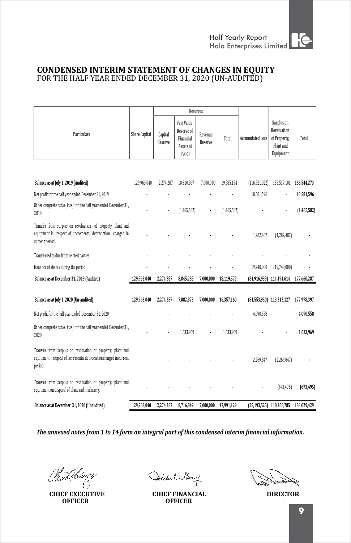## **CONDENSED INTERIM STATEMENT OF CHANGES IN EQUITY** FOR THE HALF YEAR ENDED DECEMBER 31, 2020 (UN-AUDITED)

|                                                                                                                                               |                      | Reserves           |                                                                           |                    |             |                          |                                                                     |             |
|-----------------------------------------------------------------------------------------------------------------------------------------------|----------------------|--------------------|---------------------------------------------------------------------------|--------------------|-------------|--------------------------|---------------------------------------------------------------------|-------------|
| <b>Particulars</b>                                                                                                                            | <b>Share Capital</b> | Capital<br>Reserve | <b>Fair Value</b><br>Reserve of<br>Financial<br>Assets at<br><b>FVOCI</b> | Revenue<br>Reserve | Total       | <b>Accumulated Loss</b>  | Surplus on<br>Revaluation<br>of Property,<br>Plant and<br>Equipment | Total       |
|                                                                                                                                               |                      |                    |                                                                           |                    |             |                          |                                                                     |             |
| Balance as at July 1, 2019 (Audited)                                                                                                          | 129,963,040          | 2,274,287          | 10,310,867                                                                | 7,000,000          | 19,585,154  | (116, 521, 022)          | 135,517,101                                                         | 168,544,273 |
| Net profit for the half year ended December 31, 2019                                                                                          |                      |                    |                                                                           |                    |             | 10,581,596               |                                                                     | 10,581,596  |
| Other comprehensive (loss) for the half year ended December 31,<br>2019                                                                       |                      |                    | (1,465,582)                                                               |                    | (1,465,582) |                          |                                                                     | (1,465,582) |
| Transfer from surplus on revaluation of property, plant and<br>equipment in respect of incremental depreciation charged in<br>current period. |                      |                    |                                                                           |                    |             | 1,282,487                | (1, 282, 487)                                                       |             |
| Transferred to due from related parties                                                                                                       |                      |                    |                                                                           |                    |             |                          |                                                                     |             |
| Issuance of shares during the period                                                                                                          |                      |                    |                                                                           |                    |             | 19,740,000               | (19,740,000)                                                        |             |
| Balance as at December 31, 2019 (Audited)                                                                                                     | 129.963.040          | 2,274,287          | 8,845,285                                                                 | 7,000,000          | 18,119,572  |                          | (84,916,939) 114,494,614                                            | 177,660,287 |
| Balance as at July 1, 2020 (Un-audited)                                                                                                       | 129,963,040          | 2,274,287          | 7,082,873                                                                 | 7,000,000          | 16,357,160  | (81,553,930) 113,212,127 |                                                                     | 177,978,397 |
| Net profit for the half year ended December 31, 2020                                                                                          |                      |                    |                                                                           |                    |             | 4.090.558                |                                                                     | 4,090,558   |
| Other comprehensive (loss) for the half year ended December 31,<br>2020                                                                       |                      |                    | 1,633,969                                                                 |                    | 1,633,969   |                          |                                                                     | 1,633,969   |
| Transfer from surplus on revaluation of property, plant and<br>equipmentin respect of incremental depreciation charged in current<br>period.  |                      |                    |                                                                           |                    |             | 2,269,847                | (2,269,847)                                                         |             |
| Transfer from surplus on revaluation of property, plant and<br>equipment on disposal of plant and machinery.                                  |                      |                    |                                                                           |                    |             |                          | (673, 495)                                                          | (673, 495)  |
| Balance as at December 31, 2020 (Unaudited)                                                                                                   | 129,963,040          | 2,274,287          | 8,716,842                                                                 | 7,000,000          | 17,991,129  |                          | (75,193,525) 110,268,785                                            | 183,029,429 |

**CHIEF EXECUTIVE OFFICER**

Hodel Muny

**CHIEF FINANCIAL DIRECTOR OFFICER**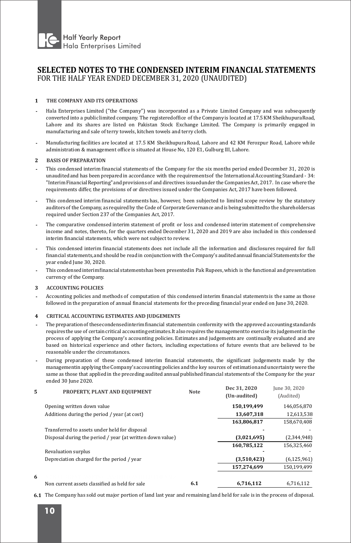

## **SELECTED NOTES TO THE CONDENSED INTERIM FINANCIAL STATEMENTS** FOR THE HALF YEAR ENDED DECEMBER 31, 2020 (UNAUDITED)

### **1 THE COMPANY AND ITS OPERATIONS**

- **-** Hala Enterprises Limited ("the Company") was incorporated as a Private Limited Company and was subsequently converted into a public limited company. The registeredofice of the Companyis located at 17.5KM SheikhupuraRoad, Lahore and its shares are listed on Pakistan Stock Exchange Limited. The Company is primarily engaged in manufacturing and sale of terry towels, kitchen towels and terry cloth.
- **-** Manufacturing facilities are located at 17.5 KM Sheikhupura Road, Lahore and 42 KM Ferozpur Road, Lahore while administration & management office is situated at House No, 120 E1, Gulburg III, Lahore.

#### **2 BASIS OF PREPARATION**

- **-** This condensed interim inancial statements of the Company for the six months period ended December 31, 2020 is unauditedand has been preparedin accordance with the requirementsof the International Accounting Standard - 34: "Interim Financial Reporting" and provisions of and directives issuedunder the CompaniesAct, 2017. In case where the requirements differ, the provisions of or directives issued under the Companies Act, 2017 have been followed.
- **-** This condensed interim financial statements has, however, been subjected to limited scope review by the statutory auditorsof the Company, as requiredby the Codeof CorporateGovernance andis beingsubmittedto the shareholdersas required under Section 237 of the Companies Act, 2017.
- **-** The comparative condensed interim statement of profit or loss and condensed interim statement of comprehensive income and notes, thereto, for the quarters ended December 31, 2020 and 2019 are also included in this condensed interim financial statements, which were not subject to review.
- **-** This condensed interim inancial statements does not include all the information and disclosures required for full financial statements, and should be read in conjunction with the Company's auditedannual financial Statements for the year ended June 30, 2020.
- **-** This condensedinteriminancial statementshasbeen presentedin Pak Rupees,which is the functional andpresentation currency of the Company.
- **3 ACCOUNTING POLICIES**
- **-** Accounting policies and methods of computation of this condensed interim inancial statements is the same as those followed in the preparation of annual financial statements for the preceding financial year ended on June 30, 2020.

#### **4 CRITICAL ACCOUNTING ESTIMATES AND JUDGEMENTS**

- **-** The preparationof thesecondensedinteriminancial statementsin conformity with the approved accountingstandards requires the use of certain critical accounting estimates.It also requires the managementto exercise its judgement in the process of applying the Company's accounting policies. Estimates and judgements are continually evaluated and are based on historical experience and other factors, including expectations of future events that are believed to be reasonable under the circumstances.
- **-** During preparation of these condensed interim inancial statements, the signiicant judgements made by the managementin applying the Company's accounting policies and the key sources of estimation and uncertainty were the same as those that applied in the preceding audited annual published financial statements of the Company for the year ended 30 June 2020. **Dec** 31, 20200

| 5 | PROPERTY, PLANT AND EQUIPMENT                             | Note | Dec 31, 2020<br>(Un-audited) | june 30, 2020<br>(Audited) |
|---|-----------------------------------------------------------|------|------------------------------|----------------------------|
|   | Opening written down value                                |      | 150,199,499                  | 146.056.870                |
|   | Additions during the period / year (at cost)              |      | 13.607.318                   | 12,613,538                 |
|   |                                                           |      | 163.806.817                  | 158.670.408                |
|   | Transferred to assets under held for disposal             |      |                              |                            |
|   | Disposal during the period / year (at written down value) |      | (3,021,695)                  | (2,344,948)                |
|   |                                                           |      | 160,785,122                  | 156,325,460                |
|   | Revaluation surplus                                       |      |                              |                            |
|   | Depreciation charged for the period / year                |      | (3,510,423)                  | (6, 125, 961)              |
|   |                                                           |      | 157.274.699                  | 150.199.499                |
| 6 |                                                           |      |                              |                            |
|   | Non current assets classified as held for sale            | 6.1  | 6.716.112                    | 6.716.112                  |

**6.1** The Company has sold out major portion of land last year and remaining land held for sale is in the process of disposal.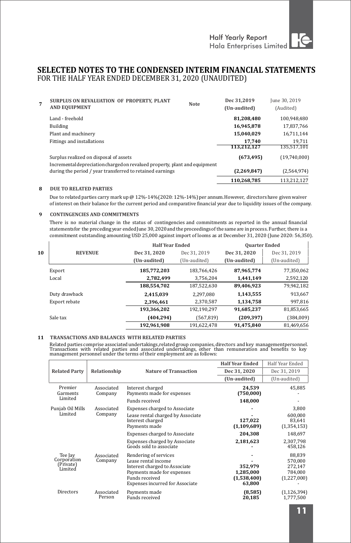## **SELECTED NOTES TO THE CONDENSED INTERIM FINANCIAL STATEMENTS** FOR THE HALF YEAR ENDED DECEMBER 31, 2020 (UNAUDITED)

| 7 | SURPLUS ON REVALUATION OF PROPERTY, PLANT                                  | <b>Note</b> | Dec 31.2019  | June 30, 2019 |
|---|----------------------------------------------------------------------------|-------------|--------------|---------------|
|   | <b>AND EQUIPMENT</b>                                                       |             | (Un-audited) | (Audited)     |
|   | Land - freehold                                                            |             | 81.208.480   | 100.948.480   |
|   | Building                                                                   |             | 16.945.878   | 17,837,766    |
|   | Plant and machinery                                                        |             | 15.040.029   | 16,711,144    |
|   | <b>Fittings and installations</b>                                          |             | 17.740       | 19.711        |
|   |                                                                            |             | 113,212,127  | 135,517,101   |
|   | Surplus realized on disposal of assets                                     |             | (673, 495)   | (19,740,000)  |
|   | Incremental depreciation charged on revalued property, plant and equipment |             |              |               |
|   | during the period / year transferred to retained earnings                  |             | (2,269,847)  | (2,564,974)   |
|   |                                                                            |             | 110.268.785  | 113.212.127   |

#### **8 DUE TO RELATED PARTIES**

Due to related parties carry mark up @ 12%-14% (2020: 12%-14%) per annum. However, directors have given waiver of interest on their balance for the current period and comparative financial year due to liquidity issues of the company.

#### **9 CONTINGENCIES AND COMMITMENTS**

There is no material change in the status of contingencies and commitments as reported in the annual inancial statementsfor the precedingyear endedJune 30, 2020andthe proceedingsof the sameare in process. Further, there is a commitment outstanding amounting USD 25,000 against import of looms as at December 31, 2020 (June 2020: 56,350).

|    |                |              | <b>Half Year Ended</b> |              | <b>Quarter Ended</b> |
|----|----------------|--------------|------------------------|--------------|----------------------|
| 10 | <b>REVENUE</b> | Dec 31, 2020 | Dec 31, 2019           | Dec 31, 2020 | Dec 31, 2019         |
|    |                | (Un-audited) | (Un-audited)           | (Un-audited) | (Un-audited)         |
|    | Export         | 185.772.203  | 183.766.426            | 87.965.774   | 77.350.062           |
|    | Local          | 2.782.499    | 3.756.204              | 1.441.149    | 2,592,120            |
|    |                | 188,554,702  | 187.522.630            | 89.406.923   | 79,942,182           |
|    | Duty drawback  | 2.415.039    | 2.297.080              | 1.143.555    | 913,667              |
|    | Export rebate  | 2.396.461    | 2,370,587              | 1.134.758    | 997.816              |
|    |                | 193.366.202  | 192.190.297            | 91.685.237   | 81,853,665           |
|    | Sale tax       | (404, 294)   | (567, 819)             | (209, 397)   | (384,009)            |
|    |                | 192,961,908  | 191.622.478            | 91,475,840   | 81,469,656           |

#### **11 TRANSACTIONS AND BALANCES WITH RELATED PARTIES**

Related parties comprise associated undertakings,related group companies, directors and key managementpersonnel.<br>Transactions with related parties and associated undertakings, other than remuneration and benefits

|                                                |                       |                                                                                                                                                                         | <b>Half Year Ended</b>                        | Half Year Ended                                        |
|------------------------------------------------|-----------------------|-------------------------------------------------------------------------------------------------------------------------------------------------------------------------|-----------------------------------------------|--------------------------------------------------------|
| <b>Related Party</b>                           | Relationship          | <b>Nature of Transaction</b>                                                                                                                                            | Dec 31, 2020                                  | Dec 31, 2019                                           |
|                                                |                       |                                                                                                                                                                         | (Un-audited)                                  | (Un-audited)                                           |
| Premier<br>Garments                            | Associated<br>Company | Interest charged<br>Payments made for expenses                                                                                                                          | 24.539<br>(750,000)                           | 45,885                                                 |
| Limited                                        |                       | Funds received                                                                                                                                                          | 148.000                                       |                                                        |
| Punjab Oil Mills                               | Associated            | <b>Expenses charged to Associate</b>                                                                                                                                    |                                               | 3,800                                                  |
| Limited                                        | Company               | Lease rental charged by Associate<br>Interest charged<br>Payments made                                                                                                  | 127,022<br>(1, 109, 689)                      | 600.000<br>83.641<br>(1, 354, 153)                     |
|                                                |                       | <b>Expenses charged to Associate</b>                                                                                                                                    | 204,308                                       | 148,697                                                |
|                                                |                       | <b>Expenses charged by Associate</b><br>Goods sold to associate                                                                                                         | 2,181,623                                     | 2.307.798<br>458.126                                   |
| Tee Jay<br>Corporation<br>(Private)<br>Limited | Associated<br>Company | Rendering of services<br>Lease rental income<br>Interest charged to Associate<br>Payments made for expenses<br>Funds received<br><b>Expenses incurred for Associate</b> | 352.979<br>1,285,000<br>(1,538,400)<br>63,800 | 88.839<br>570.000<br>272.147<br>784.000<br>(1,227,000) |
| Directors                                      | Associated<br>Person  | Payments made<br>Funds received                                                                                                                                         | (8,585)<br>20,185                             | (1, 126, 394)<br>1.777.500                             |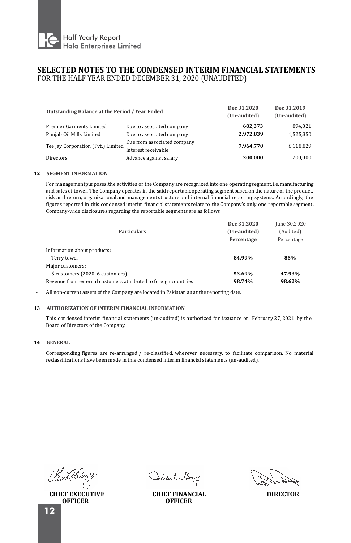

## **SELECTED NOTES TO THE CONDENSED INTERIM FINANCIAL STATEMENTS** FOR THE HALF YEAR ENDED DECEMBER 31, 2020 (UNAUDITED)

| Outstanding Balance at the Period / Year Ended |                                                    | Dec 31.2020<br>(Un-audited) | Dec 31.2019<br>(Un-audited) |  |
|------------------------------------------------|----------------------------------------------------|-----------------------------|-----------------------------|--|
| Premier Garments Limited                       | Due to associated company                          | 682.373                     | 894.821                     |  |
| Punjab Oil Mills Limited                       | Due to associated company                          | 2.972.839                   | 1,525,350                   |  |
| Tee Jay Corporation (Pvt.) Limited             | Due from associated company<br>Interest receivable | 7.964.770                   | 6,118,829                   |  |
| Directors                                      | Advance against salary                             | 200.000                     | 200.000                     |  |

#### **12 SEGMENT INFORMATION**

For managementpurposes,the activities of the Company are recognized into one operatingsegment,i.e. manufacturing and sales of towel. The Company operates in the said reportableoperating segmentbased on the natureof the product, risk and return, organizational and management structure and internal inancial reporting systems. Accordingly, the figures reported in this condensed interim financial statements relate to the Company's only one reportable segment. Company-wide disclosures regarding the reportable segments are as follows:

| <b>Particulars</b>                                              | Dec 31.2020<br>(Un-audited)<br>Percentage | June 30,2020<br>(Audited)<br>Percentage |
|-----------------------------------------------------------------|-------------------------------------------|-----------------------------------------|
| Information about products:                                     |                                           |                                         |
| - Terry towel                                                   | 84.99%                                    | 86%                                     |
| Major customers:                                                |                                           |                                         |
| - 5 customers (2020: 6 customers)                               | 53.69%                                    | 47.93%                                  |
| Revenue from external customers attributed to foreign countries | 98.74%                                    | 98.62%                                  |

- All non-current assets of the Company are located in Pakistan as at the reporting date.

#### **13 AUTHORIZATION OF INTERIM FINANCIAL INFORMATION**

This condensed interim financial statements (un-audited) is authorized for issuance on February 27, 2021 by the Board of Directors of the Company.

### **14 GENERAL**

Corresponding igures are re-arranged / re-classiied, wherever necessary, to facilitate comparison. No material reclassifications have been made in this condensed interim financial statements (un-audited).

**CHIEF EXECUTIVE OFFICER**

Hodel Muny

**CHIEF FINANCIAL DIRECTOR OFFICER**